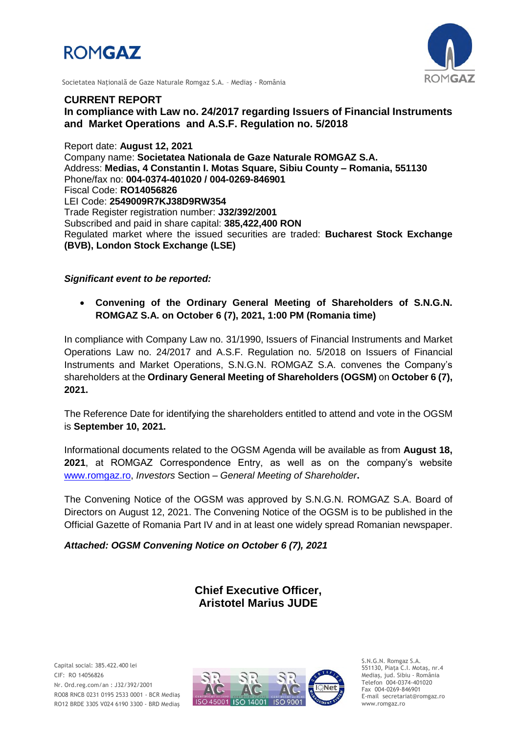



Societatea Naţională de Gaze Naturale Romgaz S.A. – Mediaş - România

# **CURRENT REPORT In compliance with Law no. 24/2017 regarding Issuers of Financial Instruments and Market Operations and A.S.F. Regulation no. 5/2018**

Report date: **August 12, 2021** Company name: **Societatea Nationala de Gaze Naturale ROMGAZ S.A.** Address: **Medias, 4 Constantin I. Motas Square, Sibiu County – Romania, 551130** Phone/fax no: **004-0374-401020 / 004-0269-846901** Fiscal Code: **RO14056826** LEI Code: **2549009R7KJ38D9RW354** Trade Register registration number: **J32/392/2001** Subscribed and paid in share capital: **385,422,400 RON** Regulated market where the issued securities are traded: **Bucharest Stock Exchange (BVB), London Stock Exchange (LSE)**

## *Significant event to be reported:*

 **Convening of the Ordinary General Meeting of Shareholders of S.N.G.N. ROMGAZ S.A. on October 6 (7), 2021, 1:00 PM (Romania time)**

In compliance with Company Law no. 31/1990, Issuers of Financial Instruments and Market Operations Law no. 24/2017 and A.S.F. Regulation no. 5/2018 on Issuers of Financial Instruments and Market Operations, S.N.G.N. ROMGAZ S.A. convenes the Company's shareholders at the **Ordinary General Meeting of Shareholders (OGSM)** on **October 6 (7), 2021.**

The Reference Date for identifying the shareholders entitled to attend and vote in the OGSM is **September 10, 2021.**

Informational documents related to the OGSM Agenda will be available as from **August 18, 2021**, at ROMGAZ Correspondence Entry, as well as on the company's website [www.romgaz.ro,](http://www.romgaz.ro/) *Investors* Section – *General Meeting of Shareholder***.**

The Convening Notice of the OGSM was approved by S.N.G.N. ROMGAZ S.A. Board of Directors on August 12, 2021. The Convening Notice of the OGSM is to be published in the Official Gazette of Romania Part IV and in at least one widely spread Romanian newspaper.

*Attached: OGSM Convening Notice on October 6 (7), 2021*

**Chief Executive Officer, Aristotel Marius JUDE**



S.N.G.N. Romgaz S.A. 551130, Piața C.I. Motaş, nr.4 Mediaş, jud. Sibiu - România Telefon 004-0374-401020 Fax 004-0269-846901 E-mail secretariat@romgaz.ro www.romgaz.ro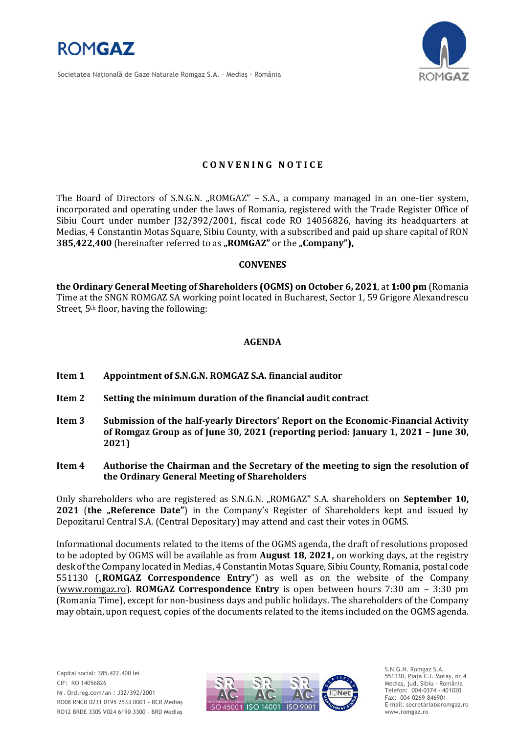

Societatea Naţională de Gaze Naturale Romgaz S.A. – Mediaş - România



## **C O N V E N I N G N O T I C E**

The Board of Directors of S.N.G.N. "ROMGAZ" - S.A., a company managed in an one-tier system, incorporated and operating under the laws of Romania, registered with the Trade Register Office of Sibiu Court under number J32/392/2001, fiscal code RO 14056826, having its headquarters at Medias, 4 Constantin Motas Square, Sibiu County, with a subscribed and paid up share capital of RON **385,422,400** (hereinafter referred to as "ROMGAZ" or the "Company"),

#### **CONVENES**

**the Ordinary General Meeting of Shareholders (OGMS) on October 6, 2021**, at **1:00 pm** (Romania Time at the SNGN ROMGAZ SA working point located in Bucharest, Sector 1, 59 Grigore Alexandrescu Street, 5th floor, having the following:

#### **AGENDA**

- **Item 1 Appointment of S.N.G.N. ROMGAZ S.A. financial auditor**
- **Item 2 Setting the minimum duration of the financial audit contract**
- **Item 3 Submission of the half-yearly Directors' Report on the Economic-Financial Activity of Romgaz Group as of June 30, 2021 (reporting period: January 1, 2021 – June 30, 2021)**
- **Item 4 Authorise the Chairman and the Secretary of the meeting to sign the resolution of the Ordinary General Meeting of Shareholders**

Only shareholders who are registered as S.N.G.N. "ROMGAZ" S.A. shareholders on **September 10, 2021 (the "Reference Date")** in the Company's Register of Shareholders kept and issued by Depozitarul Central S.A. (Central Depositary) may attend and cast their votes in OGMS.

Informational documents related to the items of the OGMS agenda, the draft of resolutions proposed to be adopted by OGMS will be available as from **August 18, 2021,** on working days, at the registry desk of the Company located in Medias, 4 Constantin Motas Square, Sibiu County, Romania, postal code 551130 ("**ROMGAZ Correspondence Entry**") as well as on the website of the Company [\(www.romgaz.ro\)](http://www.romgaz.ro/). **ROMGAZ Correspondence Entry** is open between hours 7:30 am – 3:30 pm (Romania Time), except for non-business days and public holidays. The shareholders of the Company may obtain, upon request, copies of the documents related to the items included on the OGMS agenda.



S.N.G.N. Romgaz S.A. 551130, Piața C.I. Motaş, nr.4 Mediaş, jud. Sibiu - România Telefon: 004-0374 - 401020 Fax: 004-0269-846901 E-mail: secretariat@romgaz.ro www.romgaz.ro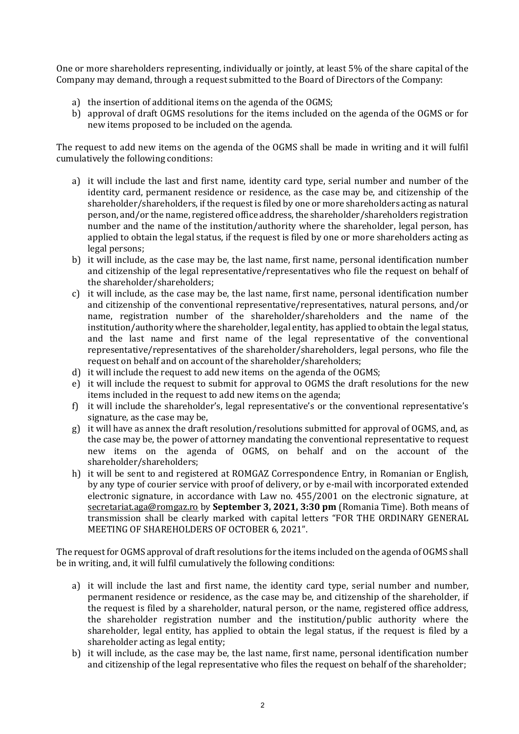One or more shareholders representing, individually or jointly, at least 5% of the share capital of the Company may demand, through a request submitted to the Board of Directors of the Company:

- a) the insertion of additional items on the agenda of the OGMS;
- b) approval of draft OGMS resolutions for the items included on the agenda of the OGMS or for new items proposed to be included on the agenda.

The request to add new items on the agenda of the OGMS shall be made in writing and it will fulfil cumulatively the following conditions:

- a) it will include the last and first name, identity card type, serial number and number of the identity card, permanent residence or residence, as the case may be, and citizenship of the shareholder/shareholders, if the request is filed by one or more shareholders acting as natural person, and/or the name, registered office address, the shareholder/shareholders registration number and the name of the institution/authority where the shareholder, legal person, has applied to obtain the legal status, if the request is filed by one or more shareholders acting as legal persons;
- b) it will include, as the case may be, the last name, first name, personal identification number and citizenship of the legal representative/representatives who file the request on behalf of the shareholder/shareholders;
- c) it will include, as the case may be, the last name, first name, personal identification number and citizenship of the conventional representative/representatives, natural persons, and/or name, registration number of the shareholder/shareholders and the name of the institution/authority where the shareholder, legal entity, has applied to obtain the legal status, and the last name and first name of the legal representative of the conventional representative/representatives of the shareholder/shareholders, legal persons, who file the request on behalf and on account of the shareholder/shareholders;
- d) it will include the request to add new items on the agenda of the OGMS;
- e) it will include the request to submit for approval to OGMS the draft resolutions for the new items included in the request to add new items on the agenda;
- f) it will include the shareholder's, legal representative's or the conventional representative's signature, as the case may be,
- g) it will have as annex the draft resolution/resolutions submitted for approval of OGMS, and, as the case may be, the power of attorney mandating the conventional representative to request new items on the agenda of OGMS, on behalf and on the account of the shareholder/shareholders;
- h) it will be sent to and registered at ROMGAZ Correspondence Entry, in Romanian or English, by any type of courier service with proof of delivery, or by e-mail with incorporated extended electronic signature, in accordance with Law no. 455/2001 on the electronic signature, at [secretariat.aga@romgaz.ro](mailto:secretariat.aga%40romgaz.ro) by **September 3, 2021, 3:30 pm** (Romania Time). Both means of transmission shall be clearly marked with capital letters "FOR THE ORDINARY GENERAL MEETING OF SHAREHOLDERS OF OCTOBER 6, 2021".

The request for OGMS approval of draft resolutions for the items included on the agenda of OGMS shall be in writing, and, it will fulfil cumulatively the following conditions:

- a) it will include the last and first name, the identity card type, serial number and number, permanent residence or residence, as the case may be, and citizenship of the shareholder, if the request is filed by a shareholder, natural person, or the name, registered office address, the shareholder registration number and the institution/public authority where the shareholder, legal entity, has applied to obtain the legal status, if the request is filed by a shareholder acting as legal entity;
- b) it will include, as the case may be, the last name, first name, personal identification number and citizenship of the legal representative who files the request on behalf of the shareholder;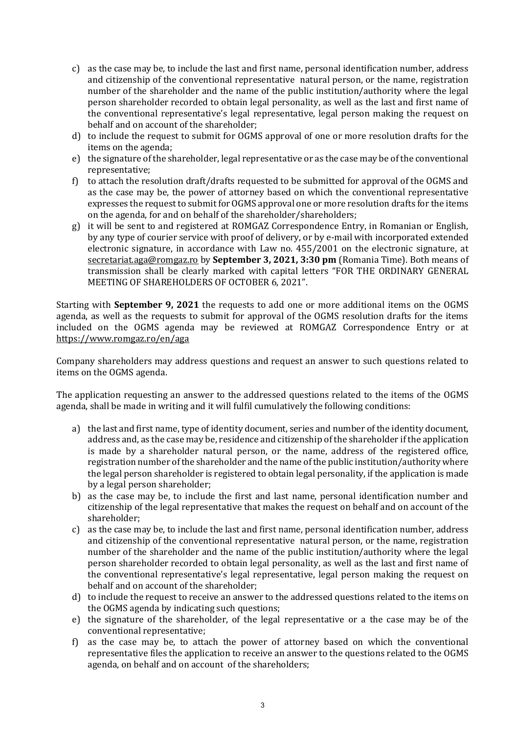- c) as the case may be, to include the last and first name, personal identification number, address and citizenship of the conventional representative natural person, or the name, registration number of the shareholder and the name of the public institution/authority where the legal person shareholder recorded to obtain legal personality, as well as the last and first name of the conventional representative's legal representative, legal person making the request on behalf and on account of the shareholder;
- d) to include the request to submit for OGMS approval of one or more resolution drafts for the items on the agenda;
- e) the signature of the shareholder, legal representative or as the case may be of the conventional representative;
- f) to attach the resolution draft/drafts requested to be submitted for approval of the OGMS and as the case may be, the power of attorney based on which the conventional representative expresses the request to submit for OGMS approval one or more resolution drafts for the items on the agenda, for and on behalf of the shareholder/shareholders;
- g) it will be sent to and registered at ROMGAZ Correspondence Entry, in Romanian or English, by any type of courier service with proof of delivery, or by e-mail with incorporated extended electronic signature, in accordance with Law no. 455/2001 on the electronic signature, at [secretariat.aga@romgaz.ro](mailto:secretariat.aga%40romgaz.ro) by **September 3, 2021, 3:30 pm** (Romania Time). Both means of transmission shall be clearly marked with capital letters "FOR THE ORDINARY GENERAL MEETING OF SHAREHOLDERS OF OCTOBER 6, 2021".

Starting with **September 9, 2021** the requests to add one or more additional items on the OGMS agenda, as well as the requests to submit for approval of the OGMS resolution drafts for the items included on the OGMS agenda may be reviewed at ROMGAZ Correspondence Entry or at <https://www.romgaz.ro/en/aga>

Company shareholders may address questions and request an answer to such questions related to items on the OGMS agenda.

The application requesting an answer to the addressed questions related to the items of the OGMS agenda, shall be made in writing and it will fulfil cumulatively the following conditions:

- a) the last and first name, type of identity document, series and number of the identity document, address and, as the case may be, residence and citizenship of the shareholder if the application is made by a shareholder natural person, or the name, address of the registered office, registration number of the shareholder and the name of the public institution/authority where the legal person shareholder is registered to obtain legal personality, if the application is made by a legal person shareholder;
- b) as the case may be, to include the first and last name, personal identification number and citizenship of the legal representative that makes the request on behalf and on account of the shareholder;
- c) as the case may be, to include the last and first name, personal identification number, address and citizenship of the conventional representative natural person, or the name, registration number of the shareholder and the name of the public institution/authority where the legal person shareholder recorded to obtain legal personality, as well as the last and first name of the conventional representative's legal representative, legal person making the request on behalf and on account of the shareholder;
- d) to include the request to receive an answer to the addressed questions related to the items on the OGMS agenda by indicating such questions;
- e) the signature of the shareholder, of the legal representative or a the case may be of the conventional representative;
- f) as the case may be, to attach the power of attorney based on which the conventional representative files the application to receive an answer to the questions related to the OGMS agenda, on behalf and on account of the shareholders;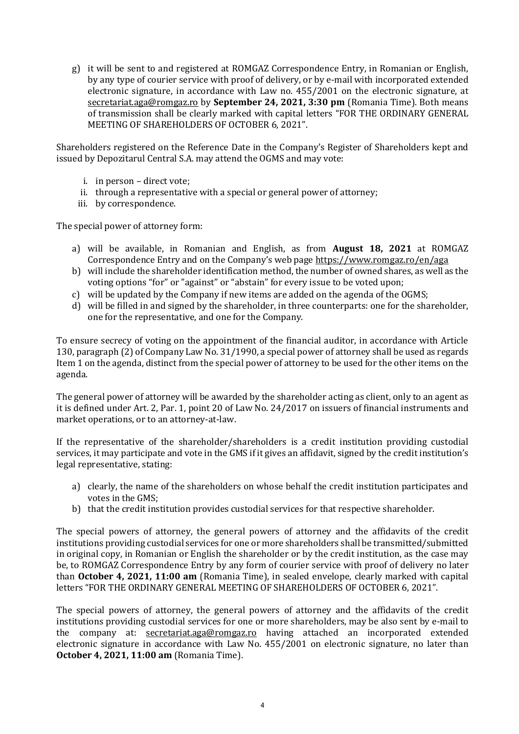g) it will be sent to and registered at ROMGAZ Correspondence Entry, in Romanian or English, by any type of courier service with proof of delivery, or by e-mail with incorporated extended electronic signature, in accordance with Law no. 455/2001 on the electronic signature, at [secretariat.aga@romgaz.ro](mailto:secretariat.aga%40romgaz.ro) by **September 24, 2021, 3:30 pm** (Romania Time). Both means of transmission shall be clearly marked with capital letters "FOR THE ORDINARY GENERAL MEETING OF SHAREHOLDERS OF OCTOBER 6, 2021".

Shareholders registered on the Reference Date in the Company's Register of Shareholders kept and issued by Depozitarul Central S.A. may attend the OGMS and may vote:

- i. in person direct vote;
- ii. through a representative with a special or general power of attorney;
- iii. by correspondence.

The special power of attorney form:

- a) will be available, in Romanian and English, as from **August 18, 2021** at ROMGAZ Correspondence Entry and on the Company's web page <https://www.romgaz.ro/en/aga>
- b) will include the shareholder identification method, the number of owned shares, as well as the voting options "for" or "against" or "abstain" for every issue to be voted upon;
- c) will be updated by the Company if new items are added on the agenda of the OGMS;
- d) will be filled in and signed by the shareholder, in three counterparts: one for the shareholder, one for the representative, and one for the Company.

To ensure secrecy of voting on the appointment of the financial auditor, in accordance with Article 130, paragraph (2) of Company Law No. 31/1990, a special power of attorney shall be used as regards Item 1 on the agenda, distinct from the special power of attorney to be used for the other items on the agenda.

The general power of attorney will be awarded by the shareholder acting as client, only to an agent as it is defined under Art. 2, Par. 1, point 20 of Law No. 24/2017 on issuers of financial instruments and market operations, or to an attorney-at-law.

If the representative of the shareholder/shareholders is a credit institution providing custodial services, it may participate and vote in the GMS if it gives an affidavit, signed by the credit institution's legal representative, stating:

- a) clearly, the name of the shareholders on whose behalf the credit institution participates and votes in the GMS;
- b) that the credit institution provides custodial services for that respective shareholder.

The special powers of attorney, the general powers of attorney and the affidavits of the credit institutions providing custodial services for one or more shareholders shall be transmitted/submitted in original copy, in Romanian or English the shareholder or by the credit institution, as the case may be, to ROMGAZ Correspondence Entry by any form of courier service with proof of delivery no later than **October 4, 2021, 11:00 am** (Romania Time), in sealed envelope, clearly marked with capital letters "FOR THE ORDINARY GENERAL MEETING OF SHAREHOLDERS OF OCTOBER 6, 2021".

The special powers of attorney, the general powers of attorney and the affidavits of the credit institutions providing custodial services for one or more shareholders, may be also sent by e-mail to the company at: [secretariat.aga@romgaz.ro](mailto:secretariat.aga%40romgaz.ro) having attached an incorporated extended electronic signature in accordance with Law No. 455/2001 on electronic signature, no later than **October 4, 2021, 11:00 am** (Romania Time).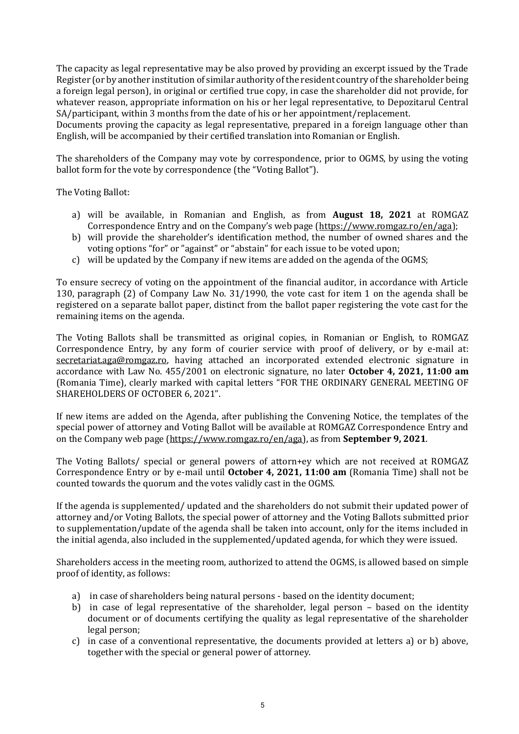The capacity as legal representative may be also proved by providing an excerpt issued by the Trade Register (or by another institution of similar authority of the resident country of the shareholder being a foreign legal person), in original or certified true copy, in case the shareholder did not provide, for whatever reason, appropriate information on his or her legal representative, to Depozitarul Central SA/participant, within 3 months from the date of his or her appointment/replacement.

Documents proving the capacity as legal representative, prepared in a foreign language other than English, will be accompanied by their certified translation into Romanian or English.

The shareholders of the Company may vote by correspondence, prior to OGMS, by using the voting ballot form for the vote by correspondence (the "Voting Ballot").

The Voting Ballot:

- a) will be available, in Romanian and English, as from **August 18, 2021** at ROMGAZ Correspondence Entry and on the Company's web page ([https://www.romgaz.ro/en/aga\)](https://www.romgaz.ro/en/aga);
- b) will provide the shareholder's identification method, the number of owned shares and the voting options "for" or "against" or "abstain" for each issue to be voted upon;
- c) will be updated by the Company if new items are added on the agenda of the OGMS;

To ensure secrecy of voting on the appointment of the financial auditor, in accordance with Article 130, paragraph (2) of Company Law No. 31/1990, the vote cast for item 1 on the agenda shall be registered on a separate ballot paper, distinct from the ballot paper registering the vote cast for the remaining items on the agenda.

The Voting Ballots shall be transmitted as original copies, in Romanian or English, to ROMGAZ Correspondence Entry, by any form of courier service with proof of delivery, or by e-mail at: [secretariat.aga@romgaz.ro,](mailto:secretariat.aga%40romgaz.ro) having attached an incorporated extended electronic signature in accordance with Law No. 455/2001 on electronic signature, no later **October 4, 2021, 11:00 am**  (Romania Time), clearly marked with capital letters "FOR THE ORDINARY GENERAL MEETING OF SHAREHOLDERS OF OCTOBER 6, 2021".

If new items are added on the Agenda, after publishing the Convening Notice, the templates of the special power of attorney and Voting Ballot will be available at ROMGAZ Correspondence Entry and on the Company web page [\(https://www.romgaz.ro/en/aga\)](https://www.romgaz.ro/en/aga), as from **September 9, 2021**.

The Voting Ballots/ special or general powers of attorn+ey which are not received at ROMGAZ Correspondence Entry or by e-mail until **October 4, 2021, 11:00 am** (Romania Time) shall not be counted towards the quorum and the votes validly cast in the OGMS.

If the agenda is supplemented/ updated and the shareholders do not submit their updated power of attorney and/or Voting Ballots, the special power of attorney and the Voting Ballots submitted prior to supplementation/update of the agenda shall be taken into account, only for the items included in the initial agenda, also included in the supplemented/updated agenda, for which they were issued.

Shareholders access in the meeting room, authorized to attend the OGMS, is allowed based on simple proof of identity, as follows:

- a) in case of shareholders being natural persons based on the identity document;
- b) in case of legal representative of the shareholder, legal person based on the identity document or of documents certifying the quality as legal representative of the shareholder legal person;
- c) in case of a conventional representative, the documents provided at letters a) or b) above, together with the special or general power of attorney.